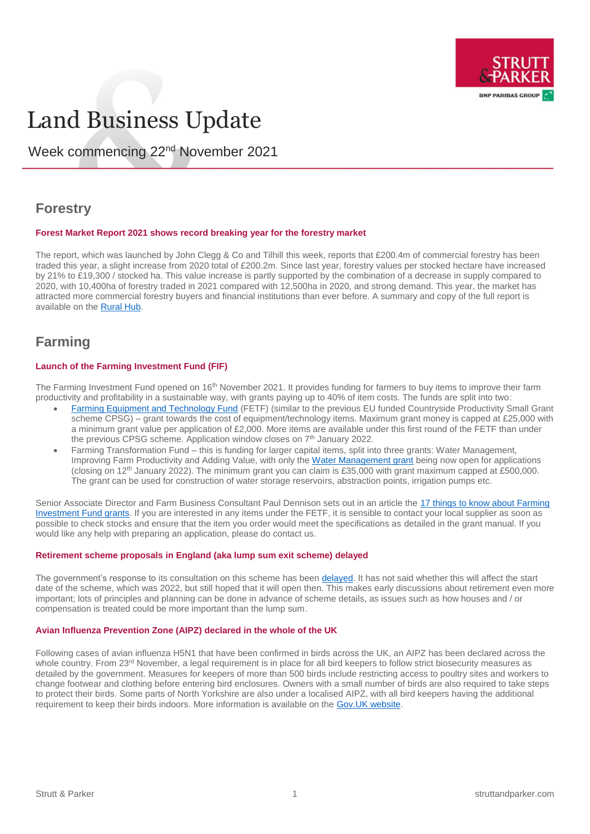

# Land Business Update

Week commencing 22nd November 2021

# **Forestry**

#### **Forest Market Report 2021 shows record breaking year for the forestry market**

The report, which was launched by John Clegg & Co and Tilhill this week, reports that £200.4m of commercial forestry has been traded this year, a slight increase from 2020 total of £200.2m. Since last year, forestry values per stocked hectare have increased by 21% to £19,300 / stocked ha. This value increase is partly supported by the combination of a decrease in supply compared to 2020, with 10,400ha of forestry traded in 2021 compared with 12,500ha in 2020, and strong demand. This year, the market has attracted more commercial forestry buyers and financial institutions than ever before. A summary and copy of the full report is available on th[e Rural Hub.](https://rural.struttandparker.com/publication/uk-forest-market-report-2021/)

# **Farming**

#### **Launch of the Farming Investment Fund (FIF)**

The Farming Investment Fund opened on 16<sup>th</sup> November 2021. It provides funding for farmers to buy items to improve their farm productivity and profitability in a sustainable way, with grants paying up to 40% of item costs. The funds are split into two:

- [Farming Equipment and Technology Fund](https://www.gov.uk/guidance/farming-equipment-and-technology-fund-round-1-manual) (FETF) (similar to the previous EU funded Countryside Productivity Small Grant scheme CPSG) – grant towards the cost of equipment/technology items. Maximum grant money is capped at £25,000 with a minimum grant value per application of £2,000. More items are available under this first round of the FETF than under the previous CPSG scheme. Application window closes on 7<sup>th</sup> January 2022.
- Farming Transformation Fund this is funding for larger capital items, split into three grants: Water Management, Improving Farm Productivity and Adding Value, with only the [Water Management grant](https://www.gov.uk/guidance/farming-transformation-fund-water-management-grant--2) being now open for applications (closing on 12th January 2022). The minimum grant you can claim is £35,000 with grant maximum capped at £500,000. The grant can be used for construction of water storage reservoirs, abstraction points, irrigation pumps etc.

Senior Associate Director and Farm Business Consultant Paul Dennison sets out in an article the [17 things to know about Farming](https://rural.struttandparker.com/article/17-things-to-know-about-farming-investment-fund-grants/)  [Investment Fund grants.](https://rural.struttandparker.com/article/17-things-to-know-about-farming-investment-fund-grants/) If you are interested in any items under the FETF, it is sensible to contact your local supplier as soon as possible to check stocks and ensure that the item you order would meet the specifications as detailed in the grant manual. If you would like any help with preparing an application, please do contact us.

#### **Retirement scheme proposals in England (aka lump sum exit scheme) delayed**

The government's response to its consultation on this scheme has bee[n delayed.](https://www.gov.uk/government/consultations/direct-payments-to-farmers-lump-sum-exit-scheme-and-delinked-payments) It has not said whether this will affect the start date of the scheme, which was 2022, but still hoped that it will open then. This makes early discussions about retirement even more important; lots of principles and planning can be done in advance of scheme details, as issues such as how houses and / or compensation is treated could be more important than the lump sum.

#### **Avian Influenza Prevention Zone (AIPZ) declared in the whole of the UK**

Following cases of avian influenza H5N1 that have been confirmed in birds across the UK, an AIPZ has been declared across the whole country. From 23<sup>rd</sup> November, a legal requirement is in place for all bird keepers to follow strict biosecurity measures as detailed by the government. Measures for keepers of more than 500 birds include restricting access to poultry sites and workers to change footwear and clothing before entering bird enclosures. Owners with a small number of birds are also required to take steps to protect their birds. Some parts of North Yorkshire are also under a localised AIPZ, with all bird keepers having the additional requirement to keep their birds indoors. More information is available on th[e Gov.UK website.](https://www.gov.uk/government/news/bird-flu-latest-situation-avian-influenza-prevention-zone-declared-across-great-britain?utm_medium=email&utm_campaign=govuk-notifications&utm_source=8ca30a66-ac80-420c-9ca7-be9b94bfc250&utm_content=daily)